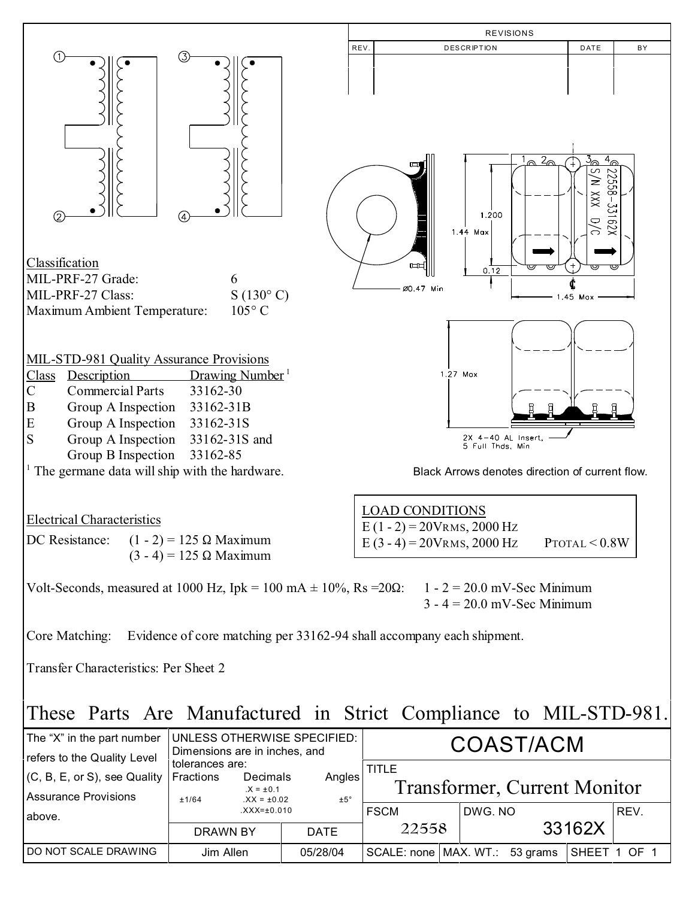